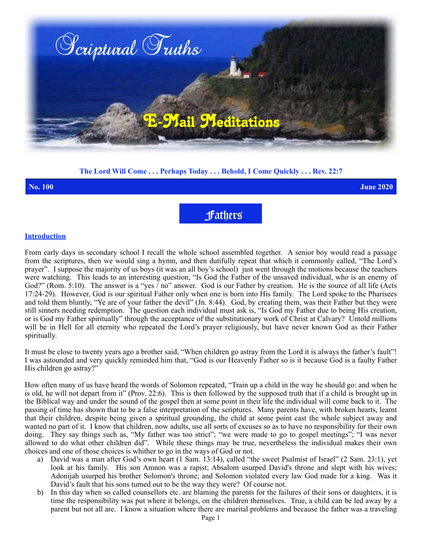

# **The Lord Will Come . . . Perhaps Today . . . Behold, I Come Quickly . . . Rev. 22:7**

**No. 100 June 2020**

Fathers

### **Introduction**

From early days in secondary school I recall the whole school assembled together. A senior boy would read a passage from the scriptures, then we would sing a hymn, and then dutifully repeat that which it commonly called, "The Lord's prayer". I suppose the majority of us boys (it was an all boy's school) just went through the motions because the teachers were watching. This leads to an interesting question, "Is God the Father of the unsaved individual, who is an enemy of God?" (Rom. 5:10). The answer is a "yes  $\overline{\phantom{a}}$  no" answer. God is our Father by creation. He is the source of all life (Acts 17:24-29). However, God is our spiritual Father only when one is born into His family. The Lord spoke to the Pharisees and told them bluntly, "Ye are of your father the devil" (Jn. 8:44). God, by creating them, was their Father but they were still sinners needing redemption. The question each individual must ask is, "Is God my Father due to being His creation, or is God my Father spiritually" through the acceptance of the substitutionary work of Christ at Calvary? Untold millions will be in Hell for all eternity who repeated the Lord's prayer religiously, but have never known God as their Father spiritually.

It must be close to twenty years ago a brother said, "When children go astray from the Lord it is always the father's fault"! I was astounded and very quickly reminded him that, "God is our Heavenly Father so is it because God is a faulty Father His children go astray?"

How often many of us have heard the words of Solomon repeated, "Train up a child in the way he should go: and when he is old, he will not depart from it" (Prov. 22:6). This is then followed by the supposed truth that if a child is brought up in the Biblical way and under the sound of the gospel then at some point in their life the individual will come back to it. The passing of time has shown that to be a false interpretation of the scriptures. Many parents have, with broken hearts, learnt that their children, despite being given a spiritual grounding, the child at some point cast the whole subject away and wanted no part of it. I know that children, now adults, use all sorts of excuses so as to have no responsibility for their own doing. They say things such as, "My father was too strict"; "we were made to go to gospel meetings"; "I was never allowed to do what other children did". While these things may be true, nevertheless the individual makes their own choices and one of those choices is whither to go in the ways of God or not.

- a) David was a man after God's own heart (1 Sam. 13:14), called "the sweet Psalmist of Israel" (2 Sam. 23:1), yet look at his family. His son Amnon was a rapist; Absalom usurped David's throne and slept with his wives; Adonijah usurped his brother Solomon's throne; and Solomon violated every law God made for a king. Was it David's fault that his sons turned out to be the way they were? Of course not.
- b) In this day when so called counsellors etc. are blaming the parents for the failures of their sons or daughters, it is time the responsibility was put where it belongs, on the children themselves. True, a child can be led away by a parent but not all are. I know a situation where there are marital problems and because the father was a traveling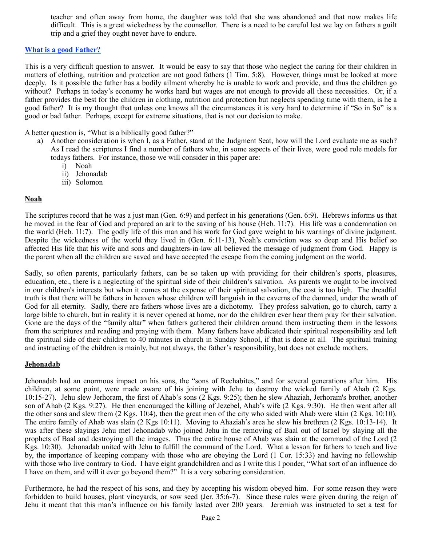teacher and often away from home, the daughter was told that she was abandoned and that now makes life difficult. This is a great wickedness by the counsellor. There is a need to be careful lest we lay on fathers a guilt trip and a grief they ought never have to endure.

# **What is a good Father?**

This is a very difficult question to answer. It would be easy to say that those who neglect the caring for their children in matters of clothing, nutrition and protection are not good fathers (1 Tim. 5:8). However, things must be looked at more deeply. Is it possible the father has a bodily ailment whereby he is unable to work and provide, and thus the children go without? Perhaps in today's economy he works hard but wages are not enough to provide all these necessities. Or, if a father provides the best for the children in clothing, nutrition and protection but neglects spending time with them, is he a good father? It is my thought that unless one knows all the circumstances it is very hard to determine if "So in So" is a good or bad father. Perhaps, except for extreme situations, that is not our decision to make.

A better question is, "What is a biblically good father?"

- a) Another consideration is when I, as a Father, stand at the Judgment Seat, how will the Lord evaluate me as such? As I read the scriptures I find a number of fathers who, in some aspects of their lives, were good role models for todays fathers. For instance, those we will consider in this paper are:
	- i) Noah
	- ii) Jehonadab
	- iii) Solomon

### **Noah**

The scriptures record that he was a just man (Gen. 6:9) and perfect in his generations (Gen. 6:9). Hebrews informs us that he moved in the fear of God and prepared an ark to the saving of his house (Heb. 11:7). His life was a condemnation on the world (Heb. 11:7). The godly life of this man and his work for God gave weight to his warnings of divine judgment. Despite the wickedness of the world they lived in (Gen. 6:11-13), Noah's conviction was so deep and His belief so affected His life that his wife and sons and daughters-in-law all believed the message of judgment from God. Happy is the parent when all the children are saved and have accepted the escape from the coming judgment on the world.

Sadly, so often parents, particularly fathers, can be so taken up with providing for their children's sports, pleasures, education, etc., there is a neglecting of the spiritual side of their children's salvation. As parents we ought to be involved in our children's interests but when it comes at the expense of their spiritual salvation, the cost is too high. The dreadful truth is that there will be fathers in heaven whose children will languish in the caverns of the damned, under the wrath of God for all eternity. Sadly, there are fathers whose lives are a dichotomy. They profess salvation, go to church, carry a large bible to church, but in reality it is never opened at home, nor do the children ever hear them pray for their salvation. Gone are the days of the "family altar" when fathers gathered their children around them instructing them in the lessons from the scriptures and reading and praying with them. Many fathers have abdicated their spiritual responsibility and left the spiritual side of their children to 40 minutes in church in Sunday School, if that is done at all. The spiritual training and instructing of the children is mainly, but not always, the father's responsibility, but does not exclude mothers.

### **Jehonadab**

Jehonadab had an enormous impact on his sons, the "sons of Rechabites," and for several generations after him. His children, at some point, were made aware of his joining with Jehu to destroy the wicked family of Ahab (2 Kgs. 10:15-27). Jehu slew Jerhoram, the first of Ahab's sons (2 Kgs. 9:25); then he slew Ahaziah, Jerhoram's brother, another son of Ahab (2 Kgs. 9:27). He then encouraged the killing of Jezebel, Ahab's wife (2 Kgs. 9:30). He then went after all the other sons and slew them (2 Kgs. 10:4), then the great men of the city who sided with Ahab were slain (2 Kgs. 10:10). The entire family of Ahab was slain (2 Kgs 10:11). Moving to Ahaziah's area he slew his brethren (2 Kgs. 10:13-14). It was after these slayings Jehu met Jehonadab who joined Jehu in the removing of Baal out of Israel by slaying all the prophets of Baal and destroying all the images. Thus the entire house of Ahab was slain at the command of the Lord (2 Kgs. 10:30). Jehonadab united with Jehu to fulfill the command of the Lord. What a lesson for fathers to teach and live by, the importance of keeping company with those who are obeying the Lord (1 Cor. 15:33) and having no fellowship with those who live contrary to God. I have eight grandchildren and as I write this I ponder, "What sort of an influence do I have on them, and will it ever go beyond them?" It is a very sobering consideration.

Furthermore, he had the respect of his sons, and they by accepting his wisdom obeyed him. For some reason they were forbidden to build houses, plant vineyards, or sow seed (Jer. 35:6-7). Since these rules were given during the reign of Jehu it meant that this man's influence on his family lasted over 200 years. Jeremiah was instructed to set a test for